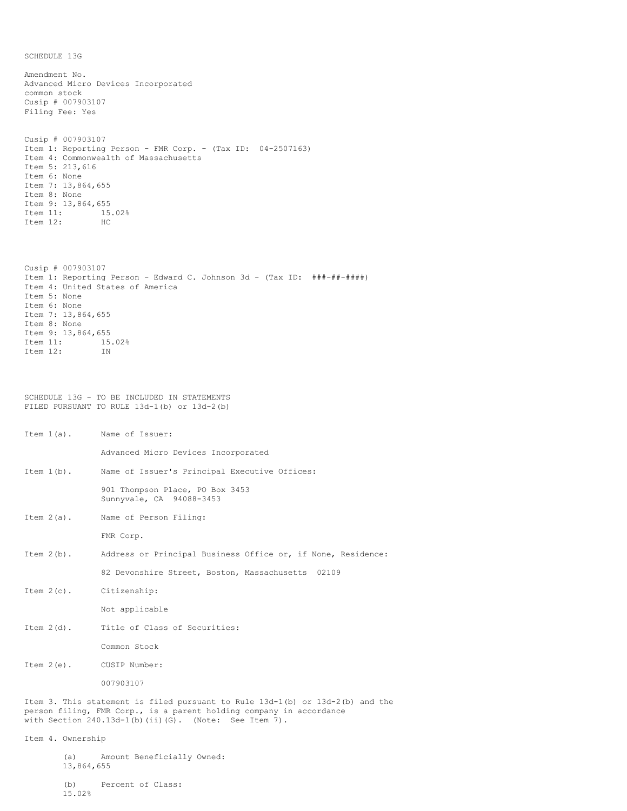SCHEDULE 13G

Amendment No. Advanced Micro Devices Incorporated common stock Cusip # 007903107 Filing Fee: Yes Cusip # 007903107 Item 1: Reporting Person - FMR Corp. - (Tax ID: 04-2507163) Item 4: Commonwealth of Massachusetts Item 5: 213,616 Item 6: None Item 7: 13,864,655 Item 8: None Item 9: 13,864,655 Item 11: 15.02%<br>Item 12: HC Item 12: Cusip # 007903107 Item 1: Reporting Person - Edward C. Johnson 3d - (Tax ID: ###-##-####) Item 4: United States of America Item 5: None Item 6: None Item 7: 13,864,655 Item 8: None Item 9: 13,864,655 Item 11: 15.02% Item 12: IN SCHEDULE 13G - TO BE INCLUDED IN STATEMENTS FILED PURSUANT TO RULE 13d-1(b) or 13d-2(b) Item 1(a). Name of Issuer: Advanced Micro Devices Incorporated Item 1(b). Name of Issuer's Principal Executive Offices: 901 Thompson Place, PO Box 3453 Sunnyvale, CA 94088-3453 Item 2(a). Name of Person Filing: FMR Corp. Item 2(b). Address or Principal Business Office or, if None, Residence: 82 Devonshire Street, Boston, Massachusetts 02109 Item 2(c). Citizenship: Not applicable Item 2(d). Title of Class of Securities: Common Stock Item 2(e). CUSIP Number: 007903107 Item 3. This statement is filed pursuant to Rule 13d-1(b) or 13d-2(b) and the person filing, FMR Corp., is a parent holding company in accordance with Section 240.13d-1(b)(ii)(G). (Note: See Item 7).

Item 4. Ownership

(a) Amount Beneficially Owned: 13,864,655

(b) Percent of Class: 15.02%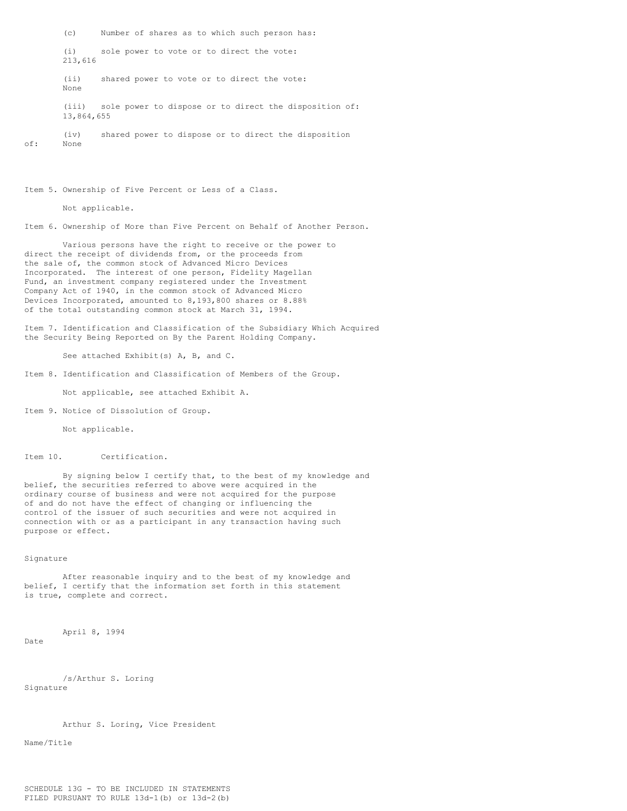(c) Number of shares as to which such person has: (i) sole power to vote or to direct the vote: 213,616 (ii) shared power to vote or to direct the vote: None (iii) sole power to dispose or to direct the disposition of: 13,864,655 (iv) shared power to dispose or to direct the disposition of: None

Item 5. Ownership of Five Percent or Less of a Class.

Not applicable.

Item 6. Ownership of More than Five Percent on Behalf of Another Person.

Various persons have the right to receive or the power to direct the receipt of dividends from, or the proceeds from the sale of, the common stock of Advanced Micro Devices Incorporated. The interest of one person, Fidelity Magellan Fund, an investment company registered under the Investment Company Act of 1940, in the common stock of Advanced Micro Devices Incorporated, amounted to 8,193,800 shares or 8.88% of the total outstanding common stock at March 31, 1994.

Item 7. Identification and Classification of the Subsidiary Which Acquired the Security Being Reported on By the Parent Holding Company.

See attached Exhibit(s) A, B, and C.

Item 8. Identification and Classification of Members of the Group.

Not applicable, see attached Exhibit A.

Item 9. Notice of Dissolution of Group.

Not applicable.

Item 10. Certification.

By signing below I certify that, to the best of my knowledge and belief, the securities referred to above were acquired in the ordinary course of business and were not acquired for the purpose of and do not have the effect of changing or influencing the control of the issuer of such securities and were not acquired in connection with or as a participant in any transaction having such purpose or effect.

## Signature

After reasonable inquiry and to the best of my knowledge and belief, I certify that the information set forth in this statement is true, complete and correct.

April 8, 1994

Date

/s/Arthur S. Loring Signature

Arthur S. Loring, Vice President

Name/Title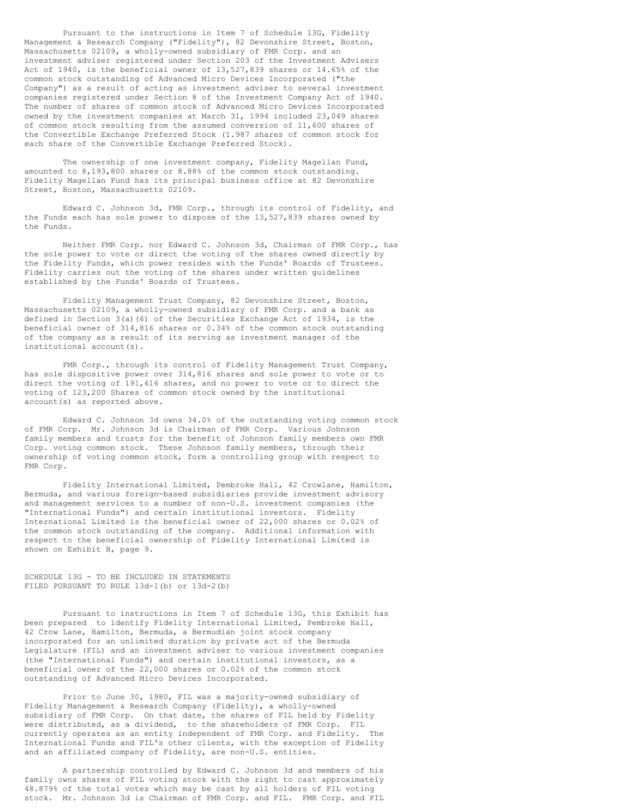Pursuant to the instructions in Item 7 of Schedule 13G, Fidelity Management & Research Company ("Fidelity"), 82 Devonshire Street, Boston, Massachusetts 02109, a wholly-owned subsidiary of FMR Corp. and an investment adviser registered under Section 203 of the Investment Advisers Act of 1940, is the beneficial owner of 13,527,839 shares or 14.65% of the common stock outstanding of Advanced Micro Devices Incorporated ("the Company") as a result of acting as investment adviser to several investment companies registered under Section 8 of the Investment Company Act of 1940. The number of shares of common stock of Advanced Micro Devices Incorporated owned by the investment companies at March 31, 1994 included 23,049 shares of common stock resulting from the assumed conversion of 11,600 shares of the Convertible Exchange Preferred Stock (1.987 shares of common stock for each share of the Convertible Exchange Preferred Stock).

The ownership of one investment company, Fidelity Magellan Fund, amounted to 8,193,800 shares or 8.88% of the common stock outstanding. Fidelity Magellan Fund has its principal business office at 82 Devonshire Street, Boston, Massachusetts 02109.

Edward C. Johnson 3d, FMR Corp., through its control of Fidelity, and the Funds each has sole power to dispose of the 13,527,839 shares owned by the Funds.

Neither FMR Corp. nor Edward C. Johnson 3d, Chairman of FMR Corp., has the sole power to vote or direct the voting of the shares owned directly by the Fidelity Funds, which power resides with the Funds' Boards of Trustees. Fidelity carries out the voting of the shares under written guidelines established by the Funds' Boards of Trustees.

Fidelity Management Trust Company, 82 Devonshire Street, Boston, Massachusetts 02109, a wholly-owned subsidiary of FMR Corp. and a bank as defined in Section 3(a)(6) of the Securities Exchange Act of 1934, is the beneficial owner of 314,816 shares or 0.34% of the common stock outstanding of the company as a result of its serving as investment manager of the institutional account(s).

FMR Corp., through its control of Fidelity Management Trust Company, has sole dispositive power over 314,816 shares and sole power to vote or to direct the voting of 191,616 shares, and no power to vote or to direct the voting of 123,200 Shares of common stock owned by the institutional account(s) as reported above.

Edward C. Johnson 3d owns 34.0% of the outstanding voting common stock of FMR Corp. Mr. Johnson 3d is Chairman of FMR Corp. Various Johnson family members and trusts for the benefit of Johnson family members own FMR Corp. voting common stock. These Johnson family members, through their ownership of voting common stock, form a controlling group with respect to FMR Corp.

Fidelity International Limited, Pembroke Hall, 42 Crowlane, Hamilton, Bermuda, and various foreign-based subsidiaries provide investment advisory and management services to a number of non-U.S. investment companies (the "International Funds") and certain institutional investors. Fidelity International Limited is the beneficial owner of 22,000 shares or 0.02% of the common stock outstanding of the company. Additional information with respect to the beneficial ownership of Fidelity International Limited is shown on Exhibit B, page 9.

SCHEDULE 13G - TO BE INCLUDED IN STATEMENTS FILED PURSUANT TO RULE 13d-1(b) or 13d-2(b)

Pursuant to instructions in Item 7 of Schedule 13G, this Exhibit has been prepared to identify Fidelity International Limited, Pembroke Hall, 42 Crow Lane, Hamilton, Bermuda, a Bermudian joint stock company incorporated for an unlimited duration by private act of the Bermuda Legislature (FIL) and an investment adviser to various investment companies (the "International Funds") and certain institutional investors, as a beneficial owner of the 22,000 shares or 0.02% of the common stock outstanding of Advanced Micro Devices Incorporated.

Prior to June 30, 1980, FIL was a majority-owned subsidiary of Fidelity Management & Research Company (Fidelity), a wholly-owned subsidiary of FMR Corp. On that date, the shares of FIL held by Fidelity were distributed, as a dividend, to the shareholders of FMR Corp. FIL currently operates as an entity independent of FMR Corp. and Fidelity. The International Funds and FIL's other clients, with the exception of Fidelity and an affiliated company of Fidelity, are non-U.S. entities.

A partnership controlled by Edward C. Johnson 3d and members of his family owns shares of FIL voting stock with the right to cast approximately 48.879% of the total votes which may be cast by all holders of FIL voting stock. Mr. Johnson 3d is Chairman of FMR Corp. and FIL. FMR Corp. and FIL